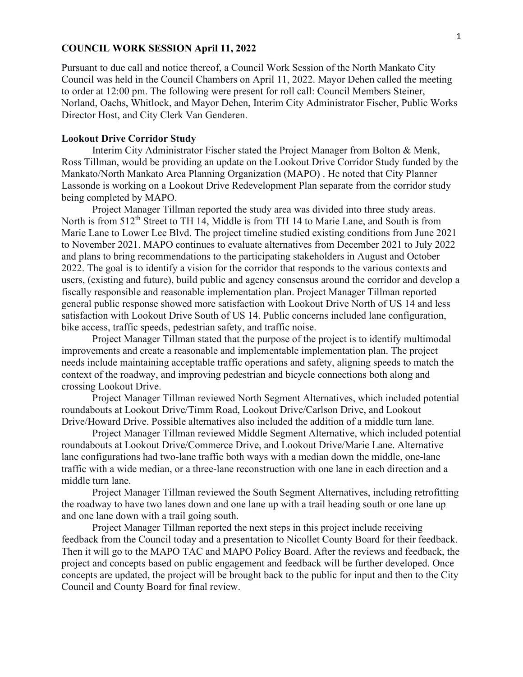# **COUNCIL WORK SESSION April 11, 2022**

Pursuant to due call and notice thereof, a Council Work Session of the North Mankato City Council was held in the Council Chambers on April 11, 2022. Mayor Dehen called the meeting to order at 12:00 pm. The following were present for roll call: Council Members Steiner, Norland, Oachs, Whitlock, and Mayor Dehen, Interim City Administrator Fischer, Public Works Director Host, and City Clerk Van Genderen.

# **Lookout Drive Corridor Study**

Interim City Administrator Fischer stated the Project Manager from Bolton & Menk, Ross Tillman, would be providing an update on the Lookout Drive Corridor Study funded by the Mankato/North Mankato Area Planning Organization (MAPO) . He noted that City Planner Lassonde is working on a Lookout Drive Redevelopment Plan separate from the corridor study being completed by MAPO.

Project Manager Tillman reported the study area was divided into three study areas. North is from 512<sup>th</sup> Street to TH 14, Middle is from TH 14 to Marie Lane, and South is from Marie Lane to Lower Lee Blvd. The project timeline studied existing conditions from June 2021 to November 2021. MAPO continues to evaluate alternatives from December 2021 to July 2022 and plans to bring recommendations to the participating stakeholders in August and October 2022. The goal is to identify a vision for the corridor that responds to the various contexts and users, (existing and future), build public and agency consensus around the corridor and develop a fiscally responsible and reasonable implementation plan. Project Manager Tillman reported general public response showed more satisfaction with Lookout Drive North of US 14 and less satisfaction with Lookout Drive South of US 14. Public concerns included lane configuration, bike access, traffic speeds, pedestrian safety, and traffic noise.

Project Manager Tillman stated that the purpose of the project is to identify multimodal improvements and create a reasonable and implementable implementation plan. The project needs include maintaining acceptable traffic operations and safety, aligning speeds to match the context of the roadway, and improving pedestrian and bicycle connections both along and crossing Lookout Drive.

Project Manager Tillman reviewed North Segment Alternatives, which included potential roundabouts at Lookout Drive/Timm Road, Lookout Drive/Carlson Drive, and Lookout Drive/Howard Drive. Possible alternatives also included the addition of a middle turn lane.

Project Manager Tillman reviewed Middle Segment Alternative, which included potential roundabouts at Lookout Drive/Commerce Drive, and Lookout Drive/Marie Lane. Alternative lane configurations had two-lane traffic both ways with a median down the middle, one-lane traffic with a wide median, or a three-lane reconstruction with one lane in each direction and a middle turn lane.

Project Manager Tillman reviewed the South Segment Alternatives, including retrofitting the roadway to have two lanes down and one lane up with a trail heading south or one lane up and one lane down with a trail going south.

Project Manager Tillman reported the next steps in this project include receiving feedback from the Council today and a presentation to Nicollet County Board for their feedback. Then it will go to the MAPO TAC and MAPO Policy Board. After the reviews and feedback, the project and concepts based on public engagement and feedback will be further developed. Once concepts are updated, the project will be brought back to the public for input and then to the City Council and County Board for final review.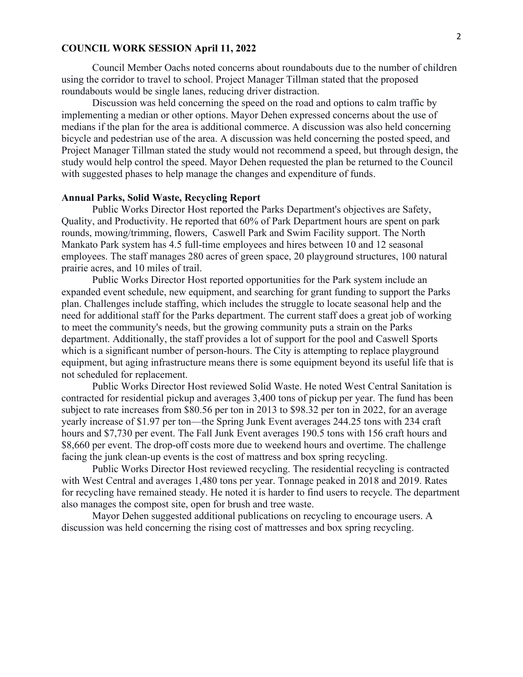## **COUNCIL WORK SESSION April 11, 2022**

Council Member Oachs noted concerns about roundabouts due to the number of children using the corridor to travel to school. Project Manager Tillman stated that the proposed roundabouts would be single lanes, reducing driver distraction.

Discussion was held concerning the speed on the road and options to calm traffic by implementing a median or other options. Mayor Dehen expressed concerns about the use of medians if the plan for the area is additional commerce. A discussion was also held concerning bicycle and pedestrian use of the area. A discussion was held concerning the posted speed, and Project Manager Tillman stated the study would not recommend a speed, but through design, the study would help control the speed. Mayor Dehen requested the plan be returned to the Council with suggested phases to help manage the changes and expenditure of funds.

# **Annual Parks, Solid Waste, Recycling Report**

Public Works Director Host reported the Parks Department's objectives are Safety, Quality, and Productivity. He reported that 60% of Park Department hours are spent on park rounds, mowing/trimming, flowers, Caswell Park and Swim Facility support. The North Mankato Park system has 4.5 full-time employees and hires between 10 and 12 seasonal employees. The staff manages 280 acres of green space, 20 playground structures, 100 natural prairie acres, and 10 miles of trail.

Public Works Director Host reported opportunities for the Park system include an expanded event schedule, new equipment, and searching for grant funding to support the Parks plan. Challenges include staffing, which includes the struggle to locate seasonal help and the need for additional staff for the Parks department. The current staff does a great job of working to meet the community's needs, but the growing community puts a strain on the Parks department. Additionally, the staff provides a lot of support for the pool and Caswell Sports which is a significant number of person-hours. The City is attempting to replace playground equipment, but aging infrastructure means there is some equipment beyond its useful life that is not scheduled for replacement.

Public Works Director Host reviewed Solid Waste. He noted West Central Sanitation is contracted for residential pickup and averages 3,400 tons of pickup per year. The fund has been subject to rate increases from \$80.56 per ton in 2013 to \$98.32 per ton in 2022, for an average yearly increase of \$1.97 per ton—the Spring Junk Event averages 244.25 tons with 234 craft hours and \$7,730 per event. The Fall Junk Event averages 190.5 tons with 156 craft hours and \$8,660 per event. The drop-off costs more due to weekend hours and overtime. The challenge facing the junk clean-up events is the cost of mattress and box spring recycling.

Public Works Director Host reviewed recycling. The residential recycling is contracted with West Central and averages 1,480 tons per year. Tonnage peaked in 2018 and 2019. Rates for recycling have remained steady. He noted it is harder to find users to recycle. The department also manages the compost site, open for brush and tree waste.

Mayor Dehen suggested additional publications on recycling to encourage users. A discussion was held concerning the rising cost of mattresses and box spring recycling.